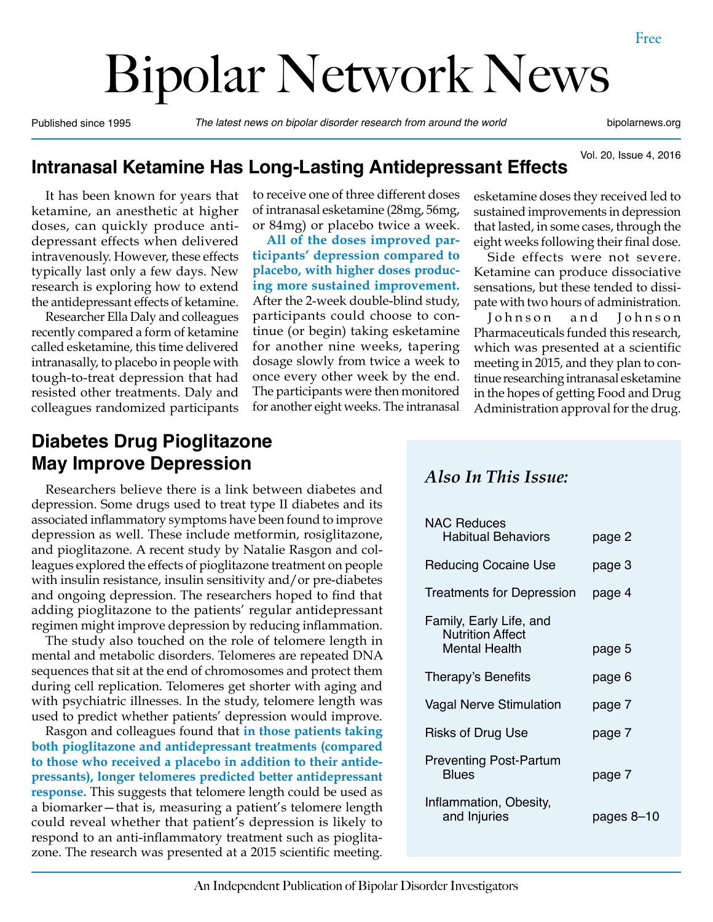# Bipolar Network News

Published since 1995 *The latest news on bipolar disorder research from around the world* bipolarnews.org

Vol. 20, Issue 4, 2016

#### **Intranasal Ketamine Has Long-Lasting Antidepressant Effects**

It has been known for years that ketamine, an anesthetic at higher doses, can quickly produce antidepressant effects when delivered intravenously. However, these effects typically last only a few days. New research is exploring how to extend the antidepressant effects of ketamine.

Researcher Ella Daly and colleagues recently compared a form of ketamine called esketamine, this time delivered intranasally, to placebo in people with tough-to-treat depression that had resisted other treatments. Daly and colleagues randomized participants

#### **Diabetes Drug Pioglitazone May Improve Depression**

Researchers believe there is a link between diabetes and depression. Some drugs used to treat type II diabetes and its associated inflammatory symptoms have been found to improve depression as well. These include metformin, rosiglitazone, and pioglitazone. A recent study by Natalie Rasgon and colleagues explored the effects of pioglitazone treatment on people with insulin resistance, insulin sensitivity and/or pre-diabetes and ongoing depression. The researchers hoped to find that adding pioglitazone to the patients' regular antidepressant regimen might improve depression by reducing inflammation.

The study also touched on the role of telomere length in mental and metabolic disorders. Telomeres are repeated DNA sequences that sit at the end of chromosomes and protect them during cell replication. Telomeres get shorter with aging and with psychiatric illnesses. In the study, telomere length was used to predict whether patients' depression would improve.

Rasgon and colleagues found that **in those patients taking both pioglitazone and antidepressant treatments (compared to those who received a placebo in addition to their antidepressants), longer telomeres predicted better antidepressant response.** This suggests that telomere length could be used as a biomarker—that is, measuring a patient's telomere length could reveal whether that patient's depression is likely to respond to an anti-inflammatory treatment such as pioglitazone. The research was presented at a 2015 scientific meeting.

to receive one of three different doses of intranasal esketamine (28mg, 56mg, or 84mg) or placebo twice a week.

**All of the doses improved participants' depression compared to placebo, with higher doses producing more sustained improvement.**  After the 2-week double-blind study, participants could choose to continue (or begin) taking esketamine for another nine weeks, tapering dosage slowly from twice a week to once every other week by the end. The participants were then monitored for another eight weeks. The intranasal

esketamine doses they received led to sustained improvements in depression that lasted, in some cases, through the eight weeks following their final dose.

Side effects were not severe. Ketamine can produce dissociative sensations, but these tended to dissipate with two hours of administration.

Johnson and Johnson Pharmaceuticals funded this research, which was presented at a scientific meeting in 2015, and they plan to continue researching intranasal esketamine in the hopes of getting Food and Drug Administration approval for the drug.

#### *Also In This Issue:*

| <b>NAC Reduces</b><br><b>Habitual Behaviors</b>                            | page 2     |
|----------------------------------------------------------------------------|------------|
| <b>Reducing Cocaine Use</b>                                                | page 3     |
| Treatments for Depression                                                  | page 4     |
| Family, Early Life, and<br><b>Nutrition Affect</b><br><b>Mental Health</b> | page 5     |
| Therapy's Benefits                                                         | page 6     |
| <b>Vagal Nerve Stimulation</b>                                             | page 7     |
| <b>Risks of Drug Use</b>                                                   | page 7     |
| <b>Preventing Post-Partum</b><br><b>Blues</b>                              | page 7     |
| Inflammation, Obesity,<br>and Injuries                                     | pages 8–10 |
|                                                                            |            |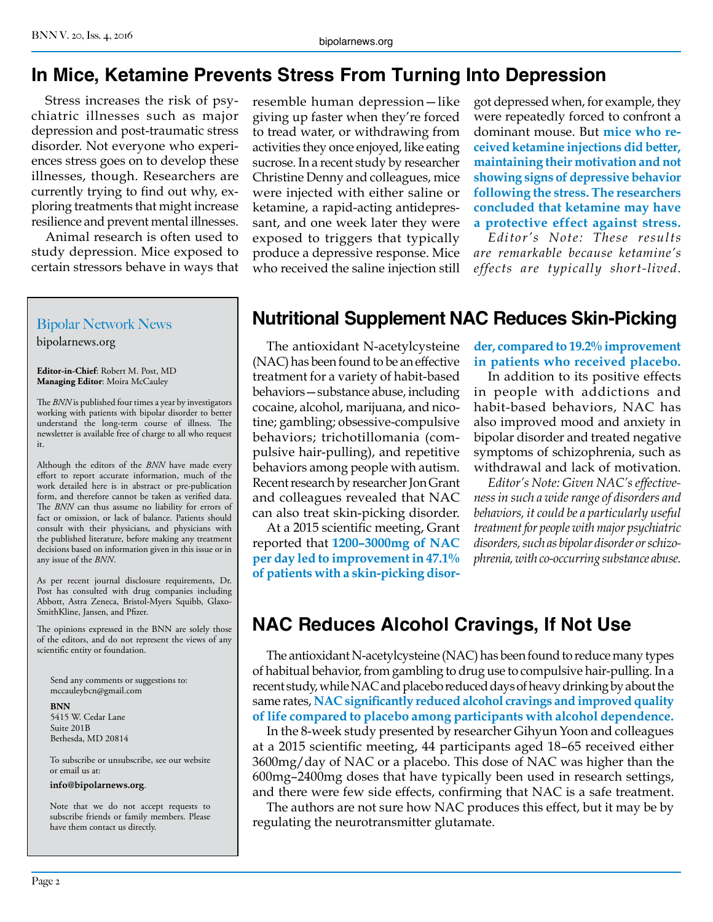#### **In Mice, Ketamine Prevents Stress From Turning Into Depression**

Stress increases the risk of psychiatric illnesses such as major depression and post-traumatic stress disorder. Not everyone who experiences stress goes on to develop these illnesses, though. Researchers are currently trying to find out why, exploring treatments that might increase resilience and prevent mental illnesses.

Animal research is often used to study depression. Mice exposed to certain stressors behave in ways that

#### Bipolar Network News

bipolarnews.org

**Editor-in-Chief**: Robert M. Post, MD **Managing Editor**: Moira McCauley

The *BNN* is published four times a year by investigators working with patients with bipolar disorder to better understand the long-term course of illness. The newsletter is available free of charge to all who request it.

Although the editors of the *BNN* have made every effort to report accurate information, much of the work detailed here is in abstract or pre-publication form, and therefore cannot be taken as verified data. The *BNN* can thus assume no liability for errors of fact or omission, or lack of balance. Patients should consult with their physicians, and physicians with the published literature, before making any treatment decisions based on information given in this issue or in any issue of the *BNN*.

As per recent journal disclosure requirements, Dr. Post has consulted with drug companies including Abbott, Astra Zeneca, Bristol-Myers Squibb, Glaxo-SmithKline, Jansen, and Pfizer.

The opinions expressed in the BNN are solely those of the editors, and do not represent the views of any scientific entity or foundation.

Send any comments or suggestions to: mccauleybcn@gmail.com

**BNN**

5415 W. Cedar Lane Suite 201B Bethesda, MD 20814

To subscribe or unsubscribe, see our website or email us at:

#### **info@bipolarnews.org**.

Note that we do not accept requests to subscribe friends or family members. Please have them contact us directly.

resemble human depression—like giving up faster when they're forced to tread water, or withdrawing from activities they once enjoyed, like eating sucrose. In a recent study by researcher Christine Denny and colleagues, mice were injected with either saline or ketamine, a rapid-acting antidepressant, and one week later they were exposed to triggers that typically produce a depressive response. Mice who received the saline injection still

got depressed when, for example, they were repeatedly forced to confront a dominant mouse. But **mice who received ketamine injections did better, maintaining their motivation and not showing signs of depressive behavior following the stress. The researchers concluded that ketamine may have a protective effect against stress.**

*Editor's Note: These results are remarkable because ketamine's effects are typically short-lived.*

#### **Nutritional Supplement NAC Reduces Skin-Picking**

The antioxidant N-acetylcysteine (NAC) has been found to be an effective treatment for a variety of habit-based behaviors—substance abuse, including cocaine, alcohol, marijuana, and nicotine; gambling; obsessive-compulsive behaviors; trichotillomania (compulsive hair-pulling), and repetitive behaviors among people with autism. Recent research by researcher Jon Grant and colleagues revealed that NAC can also treat skin-picking disorder.

At a 2015 scientific meeting, Grant reported that **1200–3000mg of NAC per day led to improvement in 47.1% of patients with a skin-picking disor-** **der, compared to 19.2% improvement in patients who received placebo.**

In addition to its positive effects in people with addictions and habit-based behaviors, NAC has also improved mood and anxiety in bipolar disorder and treated negative symptoms of schizophrenia, such as withdrawal and lack of motivation.

*Editor's Note: Given NAC's effectiveness in such a wide range of disorders and behaviors, it could be a particularly useful treatment for people with major psychiatric disorders, such as bipolar disorder or schizophrenia, with co-occurring substance abuse.*

### **NAC Reduces Alcohol Cravings, If Not Use**

The antioxidant N-acetylcysteine (NAC) has been found to reduce many types of habitual behavior, from gambling to drug use to compulsive hair-pulling. In a recent study, while NAC and placebo reduced days of heavy drinking by about the same rates, **NAC significantly reduced alcohol cravings and improved quality of life compared to placebo among participants with alcohol dependence.**

In the 8-week study presented by researcher Gihyun Yoon and colleagues at a 2015 scientific meeting, 44 participants aged 18–65 received either 3600mg/day of NAC or a placebo. This dose of NAC was higher than the 600mg–2400mg doses that have typically been used in research settings, and there were few side effects, confirming that NAC is a safe treatment.

The authors are not sure how NAC produces this effect, but it may be by regulating the neurotransmitter glutamate.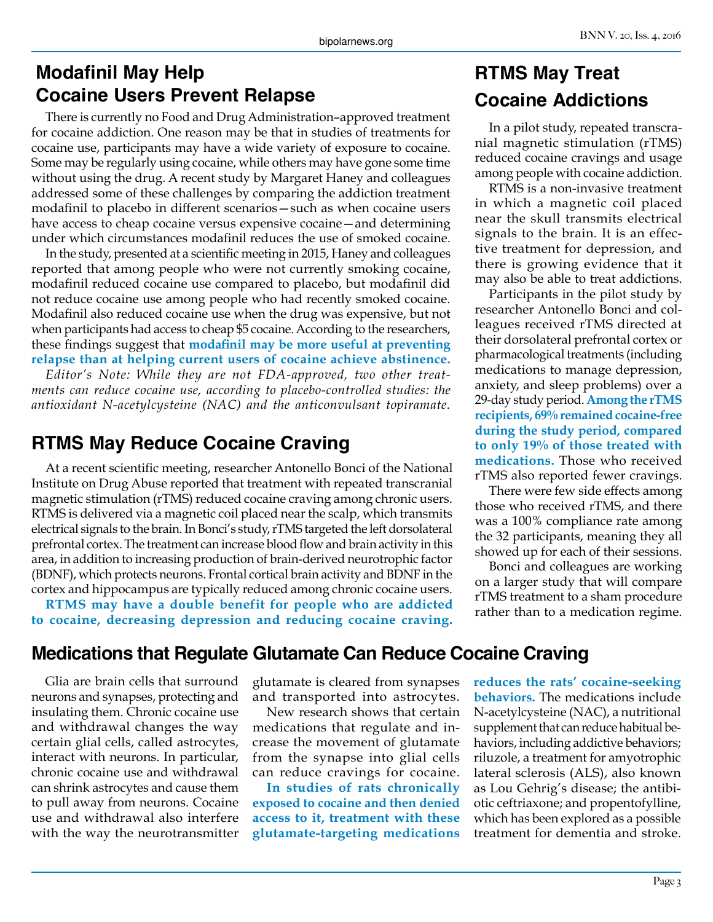#### **Modafinil May Help Cocaine Users Prevent Relapse**

There is currently no Food and Drug Administration–approved treatment for cocaine addiction. One reason may be that in studies of treatments for cocaine use, participants may have a wide variety of exposure to cocaine. Some may be regularly using cocaine, while others may have gone some time without using the drug. A recent study by Margaret Haney and colleagues addressed some of these challenges by comparing the addiction treatment modafinil to placebo in different scenarios—such as when cocaine users have access to cheap cocaine versus expensive cocaine—and determining under which circumstances modafinil reduces the use of smoked cocaine.

In the study, presented at a scientific meeting in 2015, Haney and colleagues reported that among people who were not currently smoking cocaine, modafinil reduced cocaine use compared to placebo, but modafinil did not reduce cocaine use among people who had recently smoked cocaine. Modafinil also reduced cocaine use when the drug was expensive, but not when participants had access to cheap \$5 cocaine. According to the researchers, these findings suggest that **modafinil may be more useful at preventing relapse than at helping current users of cocaine achieve abstinence.**

*Editor's Note: While they are not FDA-approved, two other treatments can reduce cocaine use, according to placebo-controlled studies: the antioxidant N-acetylcysteine (NAC) and the anticonvulsant topiramate.*

#### **RTMS May Reduce Cocaine Craving**

At a recent scientific meeting, researcher Antonello Bonci of the National Institute on Drug Abuse reported that treatment with repeated transcranial magnetic stimulation (rTMS) reduced cocaine craving among chronic users. RTMS is delivered via a magnetic coil placed near the scalp, which transmits electrical signals to the brain. In Bonci's study, rTMS targeted the left dorsolateral prefrontal cortex. The treatment can increase blood flow and brain activity in this area, in addition to increasing production of brain-derived neurotrophic factor (BDNF), which protects neurons. Frontal cortical brain activity and BDNF in the cortex and hippocampus are typically reduced among chronic cocaine users.

**RTMS may have a double benefit for people who are addicted to cocaine, decreasing depression and reducing cocaine craving.**

### **RTMS May Treat Cocaine Addictions**

In a pilot study, repeated transcranial magnetic stimulation (rTMS) reduced cocaine cravings and usage among people with cocaine addiction.

RTMS is a non-invasive treatment in which a magnetic coil placed near the skull transmits electrical signals to the brain. It is an effective treatment for depression, and there is growing evidence that it may also be able to treat addictions.

Participants in the pilot study by researcher Antonello Bonci and colleagues received rTMS directed at their dorsolateral prefrontal cortex or pharmacological treatments (including medications to manage depression, anxiety, and sleep problems) over a 29-day study period. **Among the rTMS recipients, 69% remained cocaine-free during the study period, compared to only 19% of those treated with medications.** Those who received rTMS also reported fewer cravings.

There were few side effects among those who received rTMS, and there was a 100% compliance rate among the 32 participants, meaning they all showed up for each of their sessions.

Bonci and colleagues are working on a larger study that will compare rTMS treatment to a sham procedure rather than to a medication regime.

#### **Medications that Regulate Glutamate Can Reduce Cocaine Craving**

Glia are brain cells that surround neurons and synapses, protecting and insulating them. Chronic cocaine use and withdrawal changes the way certain glial cells, called astrocytes, interact with neurons. In particular, chronic cocaine use and withdrawal can shrink astrocytes and cause them to pull away from neurons. Cocaine use and withdrawal also interfere with the way the neurotransmitter

glutamate is cleared from synapses and transported into astrocytes.

New research shows that certain medications that regulate and increase the movement of glutamate from the synapse into glial cells can reduce cravings for cocaine.

**In studies of rats chronically exposed to cocaine and then denied access to it, treatment with these glutamate-targeting medications**  **reduces the rats' cocaine-seeking behaviors.** The medications include N-acetylcysteine (NAC), a nutritional supplement that can reduce habitual behaviors, including addictive behaviors; riluzole, a treatment for amyotrophic lateral sclerosis (ALS), also known as Lou Gehrig's disease; the antibiotic ceftriaxone; and propentofylline, which has been explored as a possible treatment for dementia and stroke.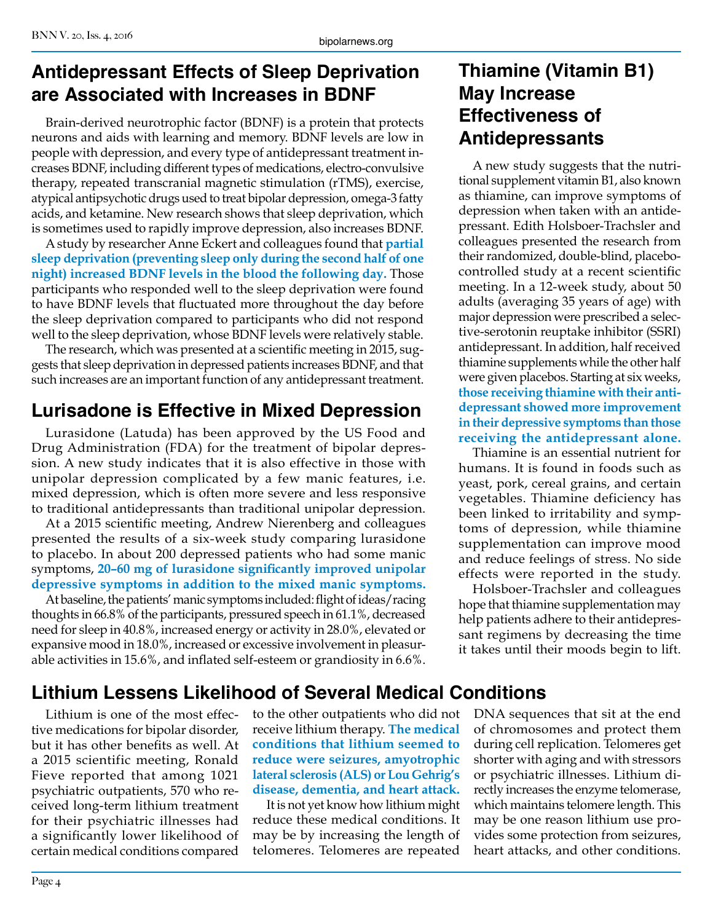#### **Antidepressant Effects of Sleep Deprivation are Associated with Increases in BDNF**

Brain-derived neurotrophic factor (BDNF) is a protein that protects neurons and aids with learning and memory. BDNF levels are low in people with depression, and every type of antidepressant treatment increases BDNF, including different types of medications, electro-convulsive therapy, repeated transcranial magnetic stimulation (rTMS), exercise, atypical antipsychotic drugs used to treat bipolar depression, omega-3 fatty acids, and ketamine. New research shows that sleep deprivation, which is sometimes used to rapidly improve depression, also increases BDNF.

A study by researcher Anne Eckert and colleagues found that **partial sleep deprivation (preventing sleep only during the second half of one night) increased BDNF levels in the blood the following day.** Those participants who responded well to the sleep deprivation were found to have BDNF levels that fluctuated more throughout the day before the sleep deprivation compared to participants who did not respond well to the sleep deprivation, whose BDNF levels were relatively stable.

The research, which was presented at a scientific meeting in 2015, suggests that sleep deprivation in depressed patients increases BDNF, and that such increases are an important function of any antidepressant treatment.

### **Lurisadone is Effective in Mixed Depression**

Lurasidone (Latuda) has been approved by the US Food and Drug Administration (FDA) for the treatment of bipolar depression. A new study indicates that it is also effective in those with unipolar depression complicated by a few manic features, i.e. mixed depression, which is often more severe and less responsive to traditional antidepressants than traditional unipolar depression.

At a 2015 scientific meeting, Andrew Nierenberg and colleagues presented the results of a six-week study comparing lurasidone to placebo. In about 200 depressed patients who had some manic symptoms, **20–60 mg of lurasidone significantly improved unipolar depressive symptoms in addition to the mixed manic symptoms.**

At baseline, the patients' manic symptoms included: flight of ideas/racing thoughts in 66.8% of the participants, pressured speech in 61.1%, decreased need for sleep in 40.8%, increased energy or activity in 28.0%, elevated or expansive mood in 18.0%, increased or excessive involvement in pleasurable activities in 15.6%, and inflated self-esteem or grandiosity in 6.6%.

#### **Thiamine (Vitamin B1) May Increase Effectiveness of Antidepressants**

A new study suggests that the nutritional supplement vitamin B1, also known as thiamine, can improve symptoms of depression when taken with an antidepressant. Edith Holsboer-Trachsler and colleagues presented the research from their randomized, double-blind, placebocontrolled study at a recent scientific meeting. In a 12-week study, about 50 adults (averaging 35 years of age) with major depression were prescribed a selective-serotonin reuptake inhibitor (SSRI) antidepressant. In addition, half received thiamine supplements while the other half were given placebos. Starting at six weeks, **those receiving thiamine with their antidepressant showed more improvement in their depressive symptoms than those receiving the antidepressant alone.**

Thiamine is an essential nutrient for humans. It is found in foods such as yeast, pork, cereal grains, and certain vegetables. Thiamine deficiency has been linked to irritability and symptoms of depression, while thiamine supplementation can improve mood and reduce feelings of stress. No side effects were reported in the study.

Holsboer-Trachsler and colleagues hope that thiamine supplementation may help patients adhere to their antidepressant regimens by decreasing the time it takes until their moods begin to lift.

### **Lithium Lessens Likelihood of Several Medical Conditions**

Lithium is one of the most effective medications for bipolar disorder, but it has other benefits as well. At a 2015 scientific meeting, Ronald Fieve reported that among 1021 psychiatric outpatients, 570 who received long-term lithium treatment for their psychiatric illnesses had a significantly lower likelihood of certain medical conditions compared

to the other outpatients who did not receive lithium therapy. **The medical conditions that lithium seemed to reduce were seizures, amyotrophic lateral sclerosis (ALS) or Lou Gehrig's disease, dementia, and heart attack.** 

It is not yet know how lithium might reduce these medical conditions. It may be by increasing the length of telomeres. Telomeres are repeated DNA sequences that sit at the end of chromosomes and protect them during cell replication. Telomeres get shorter with aging and with stressors or psychiatric illnesses. Lithium directly increases the enzyme telomerase, which maintains telomere length. This may be one reason lithium use provides some protection from seizures, heart attacks, and other conditions.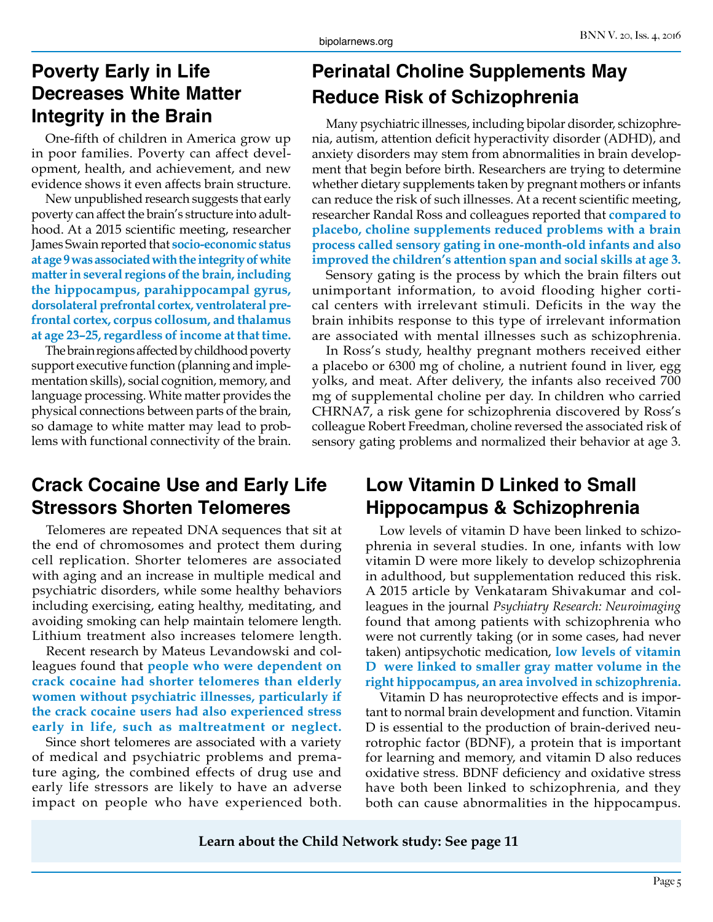### **Poverty Early in Life Decreases White Matter Integrity in the Brain**

One-fifth of children in America grow up in poor families. Poverty can affect development, health, and achievement, and new evidence shows it even affects brain structure.

New unpublished research suggests that early poverty can affect the brain's structure into adulthood. At a 2015 scientific meeting, researcher James Swain reported that **socio-economic status at age 9 was associated with the integrity of white matter in several regions of the brain, including the hippocampus, parahippocampal gyrus, dorsolateral prefrontal cortex, ventrolateral prefrontal cortex, corpus collosum, and thalamus at age 23–25, regardless of income at that time.**

The brain regions affected by childhood poverty support executive function (planning and implementation skills), social cognition, memory, and language processing. White matter provides the physical connections between parts of the brain, so damage to white matter may lead to problems with functional connectivity of the brain.

#### **Crack Cocaine Use and Early Life Stressors Shorten Telomeres**

Telomeres are repeated DNA sequences that sit at the end of chromosomes and protect them during cell replication. Shorter telomeres are associated with aging and an increase in multiple medical and psychiatric disorders, while some healthy behaviors including exercising, eating healthy, meditating, and avoiding smoking can help maintain telomere length. Lithium treatment also increases telomere length.

Recent research by Mateus Levandowski and colleagues found that **people who were dependent on crack cocaine had shorter telomeres than elderly women without psychiatric illnesses, particularly if the crack cocaine users had also experienced stress early in life, such as maltreatment or neglect.** 

Since short telomeres are associated with a variety of medical and psychiatric problems and premature aging, the combined effects of drug use and early life stressors are likely to have an adverse impact on people who have experienced both.

### **Perinatal Choline Supplements May Reduce Risk of Schizophrenia**

Many psychiatric illnesses, including bipolar disorder, schizophrenia, autism, attention deficit hyperactivity disorder (ADHD), and anxiety disorders may stem from abnormalities in brain development that begin before birth. Researchers are trying to determine whether dietary supplements taken by pregnant mothers or infants can reduce the risk of such illnesses. At a recent scientific meeting, researcher Randal Ross and colleagues reported that **compared to placebo, choline supplements reduced problems with a brain process called sensory gating in one-month-old infants and also improved the children's attention span and social skills at age 3.**

Sensory gating is the process by which the brain filters out unimportant information, to avoid flooding higher cortical centers with irrelevant stimuli. Deficits in the way the brain inhibits response to this type of irrelevant information are associated with mental illnesses such as schizophrenia.

In Ross's study, healthy pregnant mothers received either a placebo or 6300 mg of choline, a nutrient found in liver, egg yolks, and meat. After delivery, the infants also received 700 mg of supplemental choline per day. In children who carried CHRNA7, a risk gene for schizophrenia discovered by Ross's colleague Robert Freedman, choline reversed the associated risk of sensory gating problems and normalized their behavior at age 3.

#### **Low Vitamin D Linked to Small Hippocampus & Schizophrenia**

Low levels of vitamin D have been linked to schizophrenia in several studies. In one, infants with low vitamin D were more likely to develop schizophrenia in adulthood, but supplementation reduced this risk. A 2015 article by Venkataram Shivakumar and colleagues in the journal *Psychiatry Research: Neuroimaging* found that among patients with schizophrenia who were not currently taking (or in some cases, had never taken) antipsychotic medication, **low levels of vitamin D were linked to smaller gray matter volume in the right hippocampus, an area involved in schizophrenia.**

Vitamin D has neuroprotective effects and is important to normal brain development and function. Vitamin D is essential to the production of brain-derived neurotrophic factor (BDNF), a protein that is important for learning and memory, and vitamin D also reduces oxidative stress. BDNF deficiency and oxidative stress have both been linked to schizophrenia, and they both can cause abnormalities in the hippocampus.

**Learn about the Child Network study: See page 11**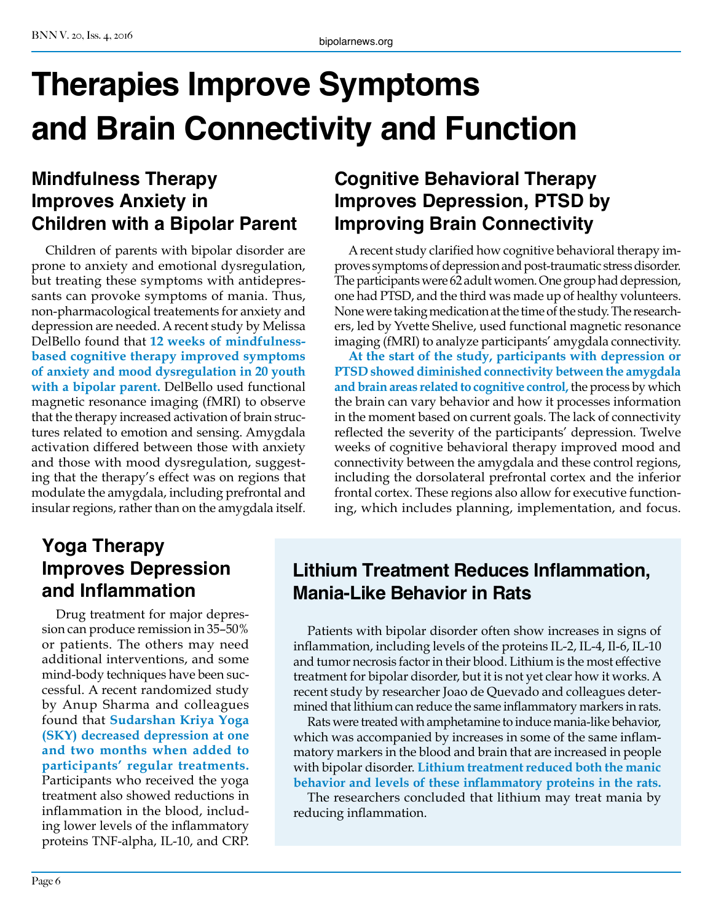## **Therapies Improve Symptoms and Brain Connectivity and Function**

#### **Mindfulness Therapy Improves Anxiety in Children with a Bipolar Parent**

Children of parents with bipolar disorder are prone to anxiety and emotional dysregulation, but treating these symptoms with antidepressants can provoke symptoms of mania. Thus, non-pharmacological treatements for anxiety and depression are needed. A recent study by Melissa DelBello found that **12 weeks of mindfulnessbased cognitive therapy improved symptoms of anxiety and mood dysregulation in 20 youth with a bipolar parent.** DelBello used functional magnetic resonance imaging (fMRI) to observe that the therapy increased activation of brain structures related to emotion and sensing. Amygdala activation differed between those with anxiety and those with mood dysregulation, suggesting that the therapy's effect was on regions that modulate the amygdala, including prefrontal and insular regions, rather than on the amygdala itself.

### **Yoga Therapy Improves Depression and Inflammation**

Drug treatment for major depression can produce remission in 35–50% or patients. The others may need additional interventions, and some mind-body techniques have been successful. A recent randomized study by Anup Sharma and colleagues found that **Sudarshan Kriya Yoga (SKY) decreased depression at one and two months when added to participants' regular treatments.**  Participants who received the yoga treatment also showed reductions in inflammation in the blood, including lower levels of the inflammatory proteins TNF-alpha, IL-10, and CRP.

### **Cognitive Behavioral Therapy Improves Depression, PTSD by Improving Brain Connectivity**

A recent study clarified how cognitive behavioral therapy improves symptoms of depression and post-traumatic stress disorder. The participants were 62 adult women. One group had depression, one had PTSD, and the third was made up of healthy volunteers. None were taking medication at the time of the study. The researchers, led by Yvette Shelive, used functional magnetic resonance imaging (fMRI) to analyze participants' amygdala connectivity.

**At the start of the study, participants with depression or PTSD showed diminished connectivity between the amygdala and brain areas related to cognitive control,** the process by which the brain can vary behavior and how it processes information in the moment based on current goals. The lack of connectivity reflected the severity of the participants' depression. Twelve weeks of cognitive behavioral therapy improved mood and connectivity between the amygdala and these control regions, including the dorsolateral prefrontal cortex and the inferior frontal cortex. These regions also allow for executive functioning, which includes planning, implementation, and focus.

#### **Lithium Treatment Reduces Inflammation, Mania-Like Behavior in Rats**

Patients with bipolar disorder often show increases in signs of inflammation, including levels of the proteins IL-2, IL-4, Il-6, IL-10 and tumor necrosis factor in their blood. Lithium is the most effective treatment for bipolar disorder, but it is not yet clear how it works. A recent study by researcher Joao de Quevado and colleagues determined that lithium can reduce the same inflammatory markers in rats.

Rats were treated with amphetamine to induce mania-like behavior, which was accompanied by increases in some of the same inflammatory markers in the blood and brain that are increased in people with bipolar disorder. **Lithium treatment reduced both the manic behavior and levels of these inflammatory proteins in the rats.**

The researchers concluded that lithium may treat mania by reducing inflammation.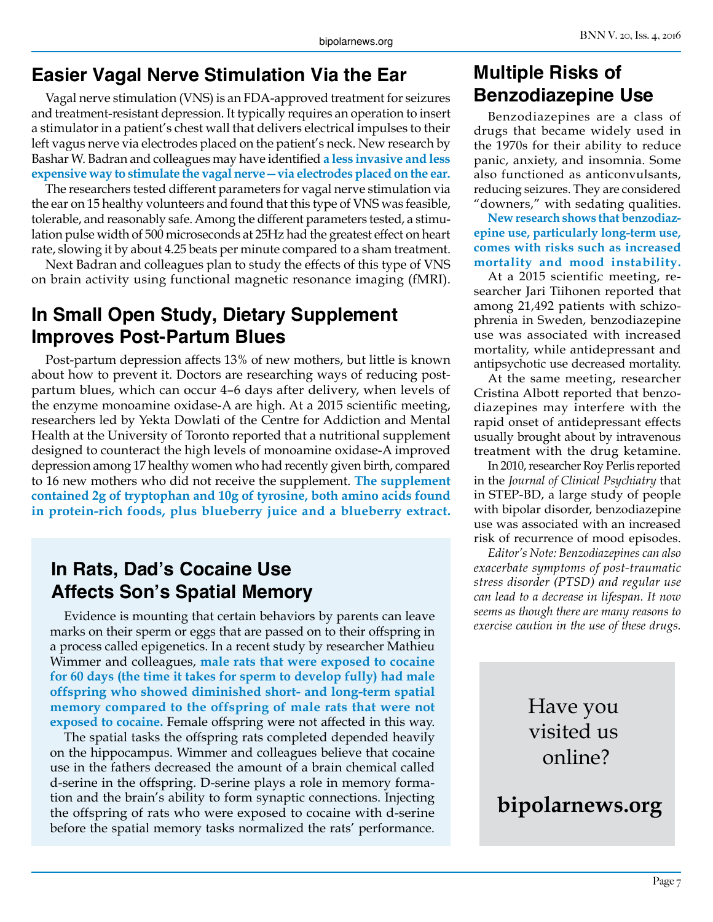#### **Easier Vagal Nerve Stimulation Via the Ear**

Vagal nerve stimulation (VNS) is an FDA-approved treatment for seizures and treatment-resistant depression. It typically requires an operation to insert a stimulator in a patient's chest wall that delivers electrical impulses to their left vagus nerve via electrodes placed on the patient's neck. New research by Bashar W. Badran and colleagues may have identified **a less invasive and less expensive way to stimulate the vagal nerve—via electrodes placed on the ear.**

The researchers tested different parameters for vagal nerve stimulation via the ear on 15 healthy volunteers and found that this type of VNS was feasible, tolerable, and reasonably safe. Among the different parameters tested, a stimulation pulse width of 500 microseconds at 25Hz had the greatest effect on heart rate, slowing it by about 4.25 beats per minute compared to a sham treatment.

Next Badran and colleagues plan to study the effects of this type of VNS on brain activity using functional magnetic resonance imaging (fMRI).

#### **In Small Open Study, Dietary Supplement Improves Post-Partum Blues**

Post-partum depression affects 13% of new mothers, but little is known about how to prevent it. Doctors are researching ways of reducing postpartum blues, which can occur 4–6 days after delivery, when levels of the enzyme monoamine oxidase-A are high. At a 2015 scientific meeting, researchers led by Yekta Dowlati of the Centre for Addiction and Mental Health at the University of Toronto reported that a nutritional supplement designed to counteract the high levels of monoamine oxidase-A improved depression among 17 healthy women who had recently given birth, compared to 16 new mothers who did not receive the supplement. **The supplement contained 2g of tryptophan and 10g of tyrosine, both amino acids found in protein-rich foods, plus blueberry juice and a blueberry extract.**

#### **In Rats, Dad's Cocaine Use Affects Son's Spatial Memory**

Evidence is mounting that certain behaviors by parents can leave marks on their sperm or eggs that are passed on to their offspring in a process called epigenetics. In a recent study by researcher Mathieu Wimmer and colleagues, **male rats that were exposed to cocaine for 60 days (the time it takes for sperm to develop fully) had male offspring who showed diminished short- and long-term spatial memory compared to the offspring of male rats that were not exposed to cocaine.** Female offspring were not affected in this way.

The spatial tasks the offspring rats completed depended heavily on the hippocampus. Wimmer and colleagues believe that cocaine use in the fathers decreased the amount of a brain chemical called d-serine in the offspring. D-serine plays a role in memory formation and the brain's ability to form synaptic connections. Injecting the offspring of rats who were exposed to cocaine with d-serine before the spatial memory tasks normalized the rats' performance.

#### **Multiple Risks of Benzodiazepine Use**

Benzodiazepines are a class of drugs that became widely used in the 1970s for their ability to reduce panic, anxiety, and insomnia. Some also functioned as anticonvulsants, reducing seizures. They are considered "downers," with sedating qualities.

**New research shows that benzodiazepine use, particularly long-term use, comes with risks such as increased mortality and mood instability.**

At a 2015 scientific meeting, researcher Jari Tiihonen reported that among 21,492 patients with schizophrenia in Sweden, benzodiazepine use was associated with increased mortality, while antidepressant and antipsychotic use decreased mortality.

At the same meeting, researcher Cristina Albott reported that benzodiazepines may interfere with the rapid onset of antidepressant effects usually brought about by intravenous treatment with the drug ketamine.

In 2010, researcher Roy Perlis reported in the *Journal of Clinical Psychiatry* that in STEP-BD, a large study of people with bipolar disorder, benzodiazepine use was associated with an increased risk of recurrence of mood episodes.

*Editor's Note: Benzodiazepines can also exacerbate symptoms of post-traumatic stress disorder (PTSD) and regular use can lead to a decrease in lifespan. It now seems as though there are many reasons to exercise caution in the use of these drugs.*

### Have you visited us online?

**bipolarnews.org**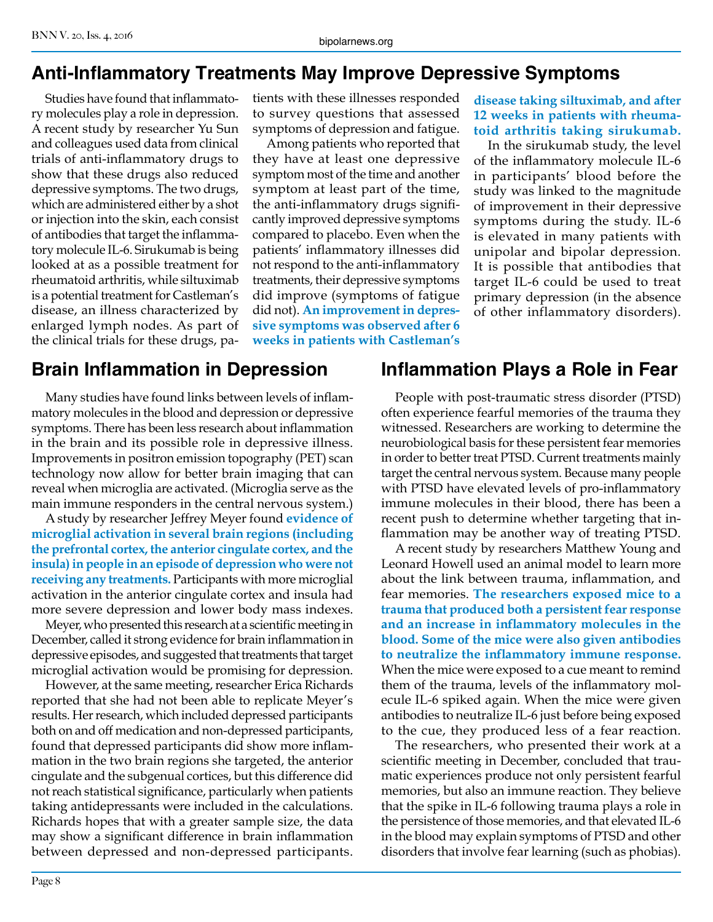### **Anti-Inflammatory Treatments May Improve Depressive Symptoms**

Studies have found that inflammatory molecules play a role in depression. A recent study by researcher Yu Sun and colleagues used data from clinical trials of anti-inflammatory drugs to show that these drugs also reduced depressive symptoms. The two drugs, which are administered either by a shot or injection into the skin, each consist of antibodies that target the inflammatory molecule IL-6. Sirukumab is being looked at as a possible treatment for rheumatoid arthritis, while siltuximab is a potential treatment for Castleman's disease, an illness characterized by enlarged lymph nodes. As part of the clinical trials for these drugs, patients with these illnesses responded to survey questions that assessed symptoms of depression and fatigue.

Among patients who reported that they have at least one depressive symptom most of the time and another symptom at least part of the time, the anti-inflammatory drugs significantly improved depressive symptoms compared to placebo. Even when the patients' inflammatory illnesses did not respond to the anti-inflammatory treatments, their depressive symptoms did improve (symptoms of fatigue did not). **An improvement in depressive symptoms was observed after 6 weeks in patients with Castleman's** 

#### **disease taking siltuximab, and after 12 weeks in patients with rheumatoid arthritis taking sirukumab.**

In the sirukumab study, the level of the inflammatory molecule IL-6 in participants' blood before the study was linked to the magnitude of improvement in their depressive symptoms during the study. IL-6 is elevated in many patients with unipolar and bipolar depression. It is possible that antibodies that target IL-6 could be used to treat primary depression (in the absence of other inflammatory disorders).

#### **Brain Inflammation in Depression**

Many studies have found links between levels of inflammatory molecules in the blood and depression or depressive symptoms. There has been less research about inflammation in the brain and its possible role in depressive illness. Improvements in positron emission topography (PET) scan technology now allow for better brain imaging that can reveal when microglia are activated. (Microglia serve as the main immune responders in the central nervous system.)

A study by researcher Jeffrey Meyer found **evidence of microglial activation in several brain regions (including the prefrontal cortex, the anterior cingulate cortex, and the insula) in people in an episode of depression who were not receiving any treatments.** Participants with more microglial activation in the anterior cingulate cortex and insula had more severe depression and lower body mass indexes.

Meyer, who presented this research at a scientific meeting in December, called it strong evidence for brain inflammation in depressive episodes, and suggested that treatments that target microglial activation would be promising for depression.

However, at the same meeting, researcher Erica Richards reported that she had not been able to replicate Meyer's results. Her research, which included depressed participants both on and off medication and non-depressed participants, found that depressed participants did show more inflammation in the two brain regions she targeted, the anterior cingulate and the subgenual cortices, but this difference did not reach statistical significance, particularly when patients taking antidepressants were included in the calculations. Richards hopes that with a greater sample size, the data may show a significant difference in brain inflammation between depressed and non-depressed participants.

#### **Inflammation Plays a Role in Fear**

People with post-traumatic stress disorder (PTSD) often experience fearful memories of the trauma they witnessed. Researchers are working to determine the neurobiological basis for these persistent fear memories in order to better treat PTSD. Current treatments mainly target the central nervous system. Because many people with PTSD have elevated levels of pro-inflammatory immune molecules in their blood, there has been a recent push to determine whether targeting that inflammation may be another way of treating PTSD.

A recent study by researchers Matthew Young and Leonard Howell used an animal model to learn more about the link between trauma, inflammation, and fear memories. **The researchers exposed mice to a trauma that produced both a persistent fear response and an increase in inflammatory molecules in the blood. Some of the mice were also given antibodies to neutralize the inflammatory immune response.**  When the mice were exposed to a cue meant to remind them of the trauma, levels of the inflammatory molecule IL-6 spiked again. When the mice were given antibodies to neutralize IL-6 just before being exposed to the cue, they produced less of a fear reaction.

The researchers, who presented their work at a scientific meeting in December, concluded that traumatic experiences produce not only persistent fearful memories, but also an immune reaction. They believe that the spike in IL-6 following trauma plays a role in the persistence of those memories, and that elevated IL-6 in the blood may explain symptoms of PTSD and other disorders that involve fear learning (such as phobias).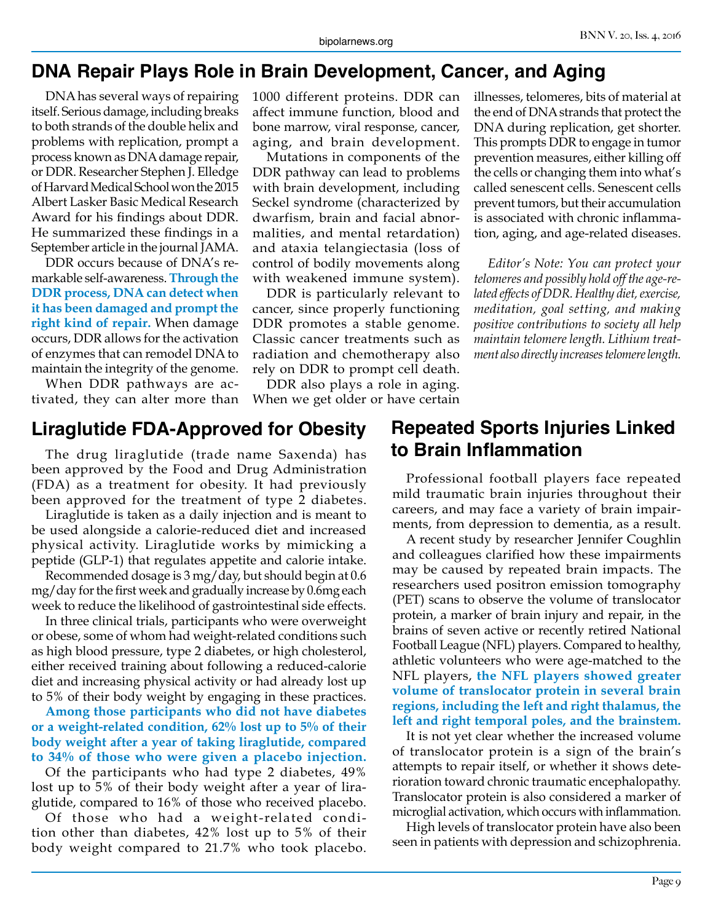#### **DNA Repair Plays Role in Brain Development, Cancer, and Aging**

DNA has several ways of repairing itself. Serious damage, including breaks to both strands of the double helix and problems with replication, prompt a process known as DNA damage repair, or DDR. Researcher Stephen J. Elledge of Harvard Medical School won the 2015 Albert Lasker Basic Medical Research Award for his findings about DDR. He summarized these findings in a September article in the journal JAMA.

DDR occurs because of DNA's remarkable self-awareness. **Through the DDR process, DNA can detect when it has been damaged and prompt the right kind of repair.** When damage occurs, DDR allows for the activation of enzymes that can remodel DNA to maintain the integrity of the genome.

When DDR pathways are activated, they can alter more than

#### **Liraglutide FDA-Approved for Obesity**

The drug liraglutide (trade name Saxenda) has been approved by the Food and Drug Administration (FDA) as a treatment for obesity. It had previously been approved for the treatment of type 2 diabetes.

Liraglutide is taken as a daily injection and is meant to be used alongside a calorie-reduced diet and increased physical activity. Liraglutide works by mimicking a peptide (GLP-1) that regulates appetite and calorie intake.

Recommended dosage is 3 mg/day, but should begin at 0.6 mg/day for the first week and gradually increase by 0.6mg each week to reduce the likelihood of gastrointestinal side effects.

In three clinical trials, participants who were overweight or obese, some of whom had weight-related conditions such as high blood pressure, type 2 diabetes, or high cholesterol, either received training about following a reduced-calorie diet and increasing physical activity or had already lost up to 5% of their body weight by engaging in these practices.

**Among those participants who did not have diabetes or a weight-related condition, 62% lost up to 5% of their body weight after a year of taking liraglutide, compared to 34% of those who were given a placebo injection.**

Of the participants who had type 2 diabetes, 49% lost up to 5% of their body weight after a year of liraglutide, compared to 16% of those who received placebo.

Of those who had a weight-related condition other than diabetes, 42% lost up to 5% of their body weight compared to 21.7% who took placebo.

1000 different proteins. DDR can affect immune function, blood and bone marrow, viral response, cancer, aging, and brain development.

Mutations in components of the DDR pathway can lead to problems with brain development, including Seckel syndrome (characterized by dwarfism, brain and facial abnormalities, and mental retardation) and ataxia telangiectasia (loss of control of bodily movements along with weakened immune system).

DDR is particularly relevant to cancer, since properly functioning DDR promotes a stable genome. Classic cancer treatments such as radiation and chemotherapy also rely on DDR to prompt cell death.

DDR also plays a role in aging. When we get older or have certain illnesses, telomeres, bits of material at the end of DNA strands that protect the DNA during replication, get shorter. This prompts DDR to engage in tumor prevention measures, either killing off the cells or changing them into what's called senescent cells. Senescent cells prevent tumors, but their accumulation is associated with chronic inflammation, aging, and age-related diseases.

*Editor's Note: You can protect your telomeres and possibly hold off the age-related effects of DDR. Healthy diet, exercise, meditation, goal setting, and making positive contributions to society all help maintain telomere length. Lithium treatment also directly increases telomere length.*

#### **Repeated Sports Injuries Linked to Brain Inflammation**

Professional football players face repeated mild traumatic brain injuries throughout their careers, and may face a variety of brain impairments, from depression to dementia, as a result.

A recent study by researcher Jennifer Coughlin and colleagues clarified how these impairments may be caused by repeated brain impacts. The researchers used positron emission tomography (PET) scans to observe the volume of translocator protein, a marker of brain injury and repair, in the brains of seven active or recently retired National Football League (NFL) players. Compared to healthy, athletic volunteers who were age-matched to the NFL players, **the NFL players showed greater volume of translocator protein in several brain regions, including the left and right thalamus, the left and right temporal poles, and the brainstem.** 

It is not yet clear whether the increased volume of translocator protein is a sign of the brain's attempts to repair itself, or whether it shows deterioration toward chronic traumatic encephalopathy. Translocator protein is also considered a marker of microglial activation, which occurs with inflammation.

High levels of translocator protein have also been seen in patients with depression and schizophrenia.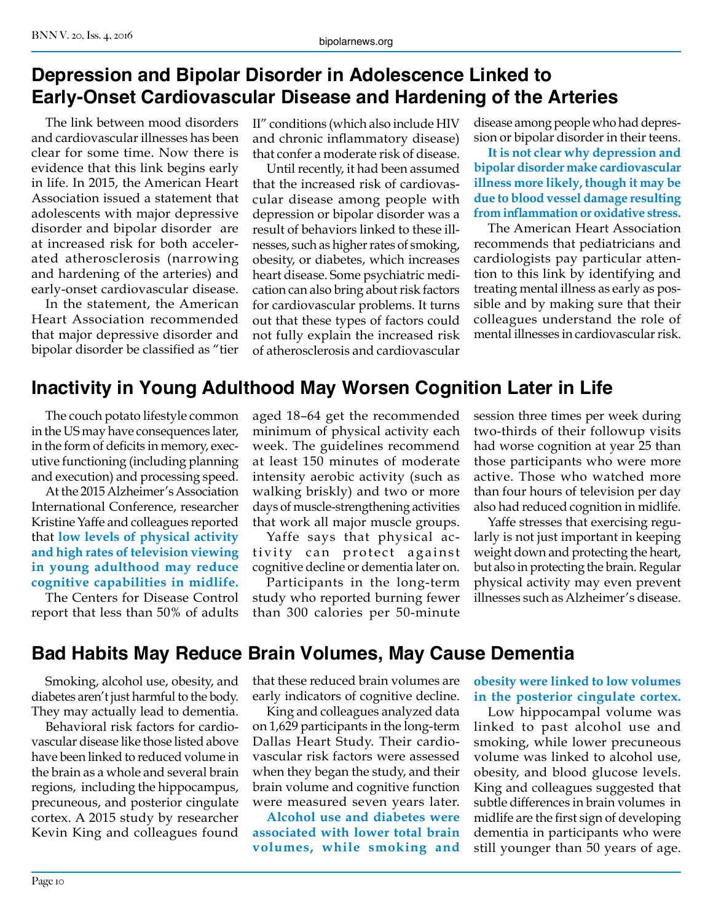#### **Depression and Bipolar Disorder in Adolescence Linked to Early-Onset Cardiovascular Disease and Hardening of the Arteries**

The link between mood disorders and cardiovascular illnesses has been clear for some time. Now there is evidence that this link begins early in life. In 2015, the American Heart Association issued a statement that adolescents with major depressive disorder and bipolar disorder are at increased risk for both accelerated atherosclerosis (narrowing and hardening of the arteries) and early-onset cardiovascular disease.

In the statement, the American Heart Association recommended that major depressive disorder and bipolar disorder be classified as "tier

II" conditions (which also include HIV and chronic inflammatory disease) that confer a moderate risk of disease.

Until recently, it had been assumed that the increased risk of cardiovascular disease among people with depression or bipolar disorder was a result of behaviors linked to these illnesses, such as higher rates of smoking, obesity, or diabetes, which increases heart disease. Some psychiatric medication can also bring about risk factors for cardiovascular problems. It turns out that these types of factors could not fully explain the increased risk of atherosclerosis and cardiovascular

disease among people who had depression or bipolar disorder in their teens.

**It is not clear why depression and bipolar disorder make cardiovascular illness more likely, though it may be due to blood vessel damage resulting from inflammation or oxidative stress.**

The American Heart Association recommends that pediatricians and cardiologists pay particular attention to this link by identifying and treating mental illness as early as possible and by making sure that their colleagues understand the role of mental illnesses in cardiovascular risk.

### **Inactivity in Young Adulthood May Worsen Cognition Later in Life**

The couch potato lifestyle common in the US may have consequences later, in the form of deficits in memory, executive functioning (including planning and execution) and processing speed.

At the 2015 Alzheimer's Association International Conference, researcher Kristine Yaffe and colleagues reported that **low levels of physical activity and high rates of television viewing in young adulthood may reduce cognitive capabilities in midlife.**

The Centers for Disease Control report that less than 50% of adults

aged 18–64 get the recommended minimum of physical activity each week. The guidelines recommend at least 150 minutes of moderate intensity aerobic activity (such as walking briskly) and two or more days of muscle-strengthening activities that work all major muscle groups.

Yaffe says that physical activity can protect against cognitive decline or dementia later on.

Participants in the long-term study who reported burning fewer than 300 calories per 50-minute

session three times per week during two-thirds of their followup visits had worse cognition at year 25 than those participants who were more active. Those who watched more than four hours of television per day also had reduced cognition in midlife.

Yaffe stresses that exercising regularly is not just important in keeping weight down and protecting the heart, but also in protecting the brain. Regular physical activity may even prevent illnesses such as Alzheimer's disease.

### **Bad Habits May Reduce Brain Volumes, May Cause Dementia**

Smoking, alcohol use, obesity, and diabetes aren't just harmful to the body. They may actually lead to dementia.

Behavioral risk factors for cardiovascular disease like those listed above have been linked to reduced volume in the brain as a whole and several brain regions, including the hippocampus, precuneous, and posterior cingulate cortex. A 2015 study by researcher Kevin King and colleagues found

that these reduced brain volumes are early indicators of cognitive decline.

King and colleagues analyzed data on 1,629 participants in the long-term Dallas Heart Study. Their cardiovascular risk factors were assessed when they began the study, and their brain volume and cognitive function were measured seven years later.

**Alcohol use and diabetes were associated with lower total brain volumes, while smoking and** 

**obesity were linked to low volumes in the posterior cingulate cortex.**

Low hippocampal volume was linked to past alcohol use and smoking, while lower precuneous volume was linked to alcohol use, obesity, and blood glucose levels. King and colleagues suggested that subtle differences in brain volumes in midlife are the first sign of developing dementia in participants who were still younger than 50 years of age.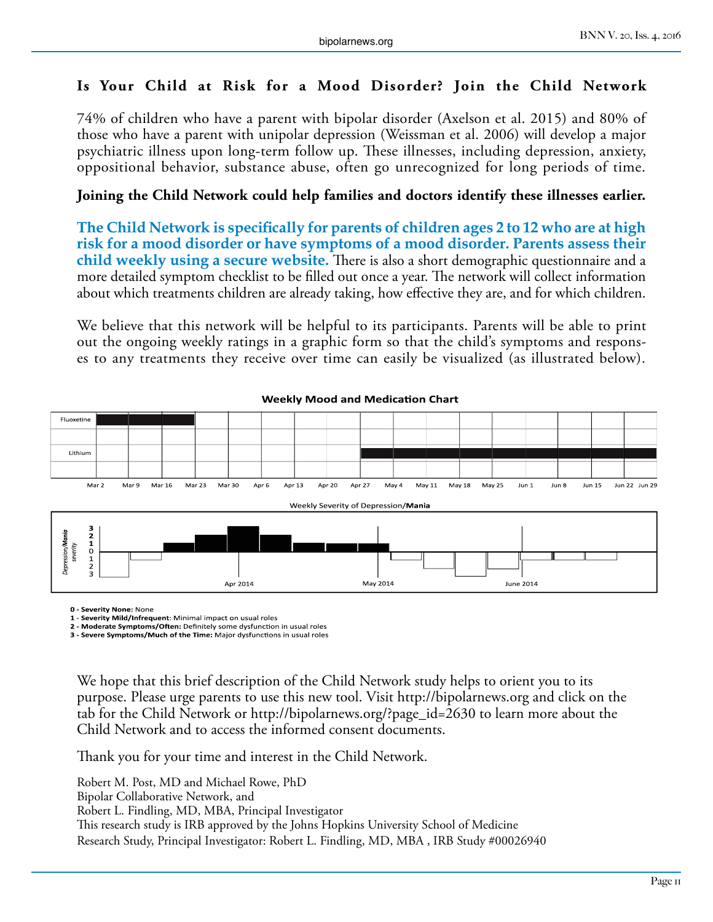#### **Is Your Child at Risk for a Mood Disorder? Join the Child Network**

74% of children who have a parent with bipolar disorder (Axelson et al. 2015) and 80% of those who have a parent with unipolar depression (Weissman et al. 2006) will develop a major psychiatric illness upon long-term follow up. These illnesses, including depression, anxiety, oppositional behavior, substance abuse, often go unrecognized for long periods of time.

#### **Joining the Child Network could help families and doctors identify these illnesses earlier.**

**The Child Network is specifically for parents of children ages 2 to 12 who are at high risk for a mood disorder or have symptoms of a mood disorder. Parents assess their child weekly using a secure website.** There is also a short demographic questionnaire and a more detailed symptom checklist to be filled out once a year. The network will collect information about which treatments children are already taking, how effective they are, and for which children.

We believe that this network will be helpful to its participants. Parents will be able to print out the ongoing weekly ratings in a graphic form so that the child's symptoms and responses to any treatments they receive over time can easily be visualized (as illustrated below).



#### **Weekly Mood and Medication Chart**

**0 - Severity None:** None

**1 - Severity Mild/Infrequent**: Minimal impact on usual roles

**2 - Moderate Symptoms/Often:** Definitely some dysfunction in usual roles

**3 - Severe Symptoms/Much of the Time:** Major dysfunctions in usual roles

We hope that this brief description of the Child Network study helps to orient you to its purpose. Please urge parents to use this new tool. Visit http://bipolarnews.org and click on the tab for the Child Network or http://bipolarnews.org/?page\_id=2630 to learn more about the Child Network and to access the informed consent documents.

Thank you for your time and interest in the Child Network.

Robert M. Post, MD and Michael Rowe, PhD Bipolar Collaborative Network, and Robert L. Findling, MD, MBA, Principal Investigator This research study is IRB approved by the Johns Hopkins University School of Medicine Research Study, Principal Investigator: Robert L. Findling, MD, MBA , IRB Study #00026940